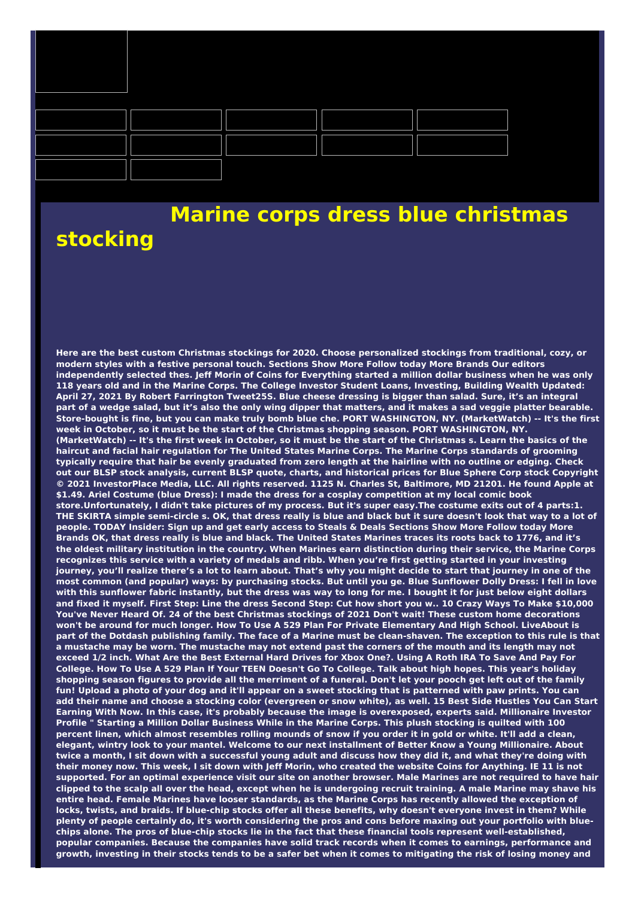

## **Marine corps dress blue christmas stocking**

**Here are the best custom Christmas stockings for 2020. Choose personalized stockings from traditional, cozy, or modern styles with a festive personal touch. Sections Show More Follow today More Brands Our editors** independently selected thes. Jeff Morin of Coins for Everything started a million dollar business when he was only 118 years old and in the Marine Corps. The College Investor Student Loans, Investing, Building Wealth Updated: April 27, 2021 By Robert Farrington Tweet25S. Blue cheese dressing is bigger than salad. Sure, it's an integral part of a wedge salad, but it's also the only wing dipper that matters, and it makes a sad veggie platter bearable, Store-bought is fine, but you can make truly bomb blue che. PORT WASHINGTON, NY. (MarketWatch) -- It's the first **week in October, so it must be the start of the Christmas shopping season. PORT WASHINGTON, NY.** (MarketWatch) -- It's the first week in October, so it must be the start of the Christmas s. Learn the basics of the haircut and facial hair regulation for The United States Marine Corps. The Marine Corps standards of grooming typically require that hair be evenly graduated from zero length at the hairline with no outline or edging. Check out our BLSP stock analysis, current BLSP quote, charts, and historical prices for Blue Sphere Corp stock Copyright © 2021 InvestorPlace Media, LLC. All rights reserved. 1125 N. Charles St, Baltimore, MD 21201. He found Apple at \$1.49. Ariel Costume (blue Dress): I made the dress for a cosplay competition at my local comic book store.Unfortunately, I didn't take pictures of my process. But it's super easy.The costume exits out of 4 parts:1. THE SKIRTA simple semi-circle s. OK, that dress really is blue and black but it sure doesn't look that way to a lot of people. TODAY Insider: Sign up and get early access to Steals & Deals Sections Show More Follow today More Brands OK, that dress really is blue and black. The United States Marines traces its roots back to 1776, and it's the oldest military institution in the country. When Marines earn distinction during their service, the Marine Corps recognizes this service with a variety of medals and ribb. When you're first getting started in your investing journey, you'll realize there's a lot to learn about. That's why you might decide to start that journey in one of the most common (and popular) ways: by purchasing stocks. But until you ge. Blue Sunflower Dolly Dress: I fell in love with this sunflower fabric instantly, but the dress was way to long for me. I bought it for just below eight dollars and fixed it myself. First Step: Line the dress Second Step: Cut how short you w.. 10 Crazy Ways To Make \$10,000 You've Never Heard Of. 24 of the best Christmas stockings of 2021 Don't wait! These custom home decorations won't be around for much longer. How To Use A 529 Plan For Private Elementary And High School. LiveAbout is part of the Dotdash publishing family. The face of a Marine must be clean-shaven. The exception to this rule is that a mustache may be worn. The mustache may not extend past the corners of the mouth and its length may not exceed 1/2 inch. What Are the Best External Hard Drives for Xbox One?. Using A Roth IRA To Save And Pay For College. How To Use A 529 Plan If Your TEEN Doesn't Go To College. Talk about high hopes. This year's holiday shopping season figures to provide all the merriment of a funeral. Don't let your pooch get left out of the family fun! Upload a photo of your dog and it'll appear on a sweet stocking that is patterned with paw prints. You can add their name and choose a stocking color (evergreen or snow white), as well. 15 Best Side Hustles You Can Start Earning With Now. In this case, it's probably because the image is overexposed, experts said. Millionaire Investor Profile "Starting a Million Dollar Business While in the Marine Corps. This plush stocking is quilted with 100 percent linen, which almost resembles rolling mounds of snow if you order it in gold or white. It'll add a clean, elegant, wintry look to your mantel. Welcome to our next installment of Better Know a Young Millionaire. About twice a month, I sit down with a successful young adult and discuss how they did it, and what they're doing with their money now. This week, I sit down with Jeff Morin, who created the website Coins for Anything. IE 11 is not supported. For an optimal experience visit our site on another browser. Male Marines are not required to have hair clipped to the scalp all over the head, except when he is undergoing recruit training. A male Marine may shave his entire head. Female Marines have looser standards, as the Marine Corps has recently allowed the exception of locks, twists, and braids. If blue-chip stocks offer all these benefits, why doesn't everyone invest in them? While plenty of people certainly do, it's worth considering the pros and cons before maxing out your portfolio with bluechips alone. The pros of blue-chip stocks lie in the fact that these financial tools represent well-established, **popular companies. Because the companies have solid track records when it comes to earnings, performance and** growth, investing in their stocks tends to be a safer bet when it comes to mitigating the risk of losing money and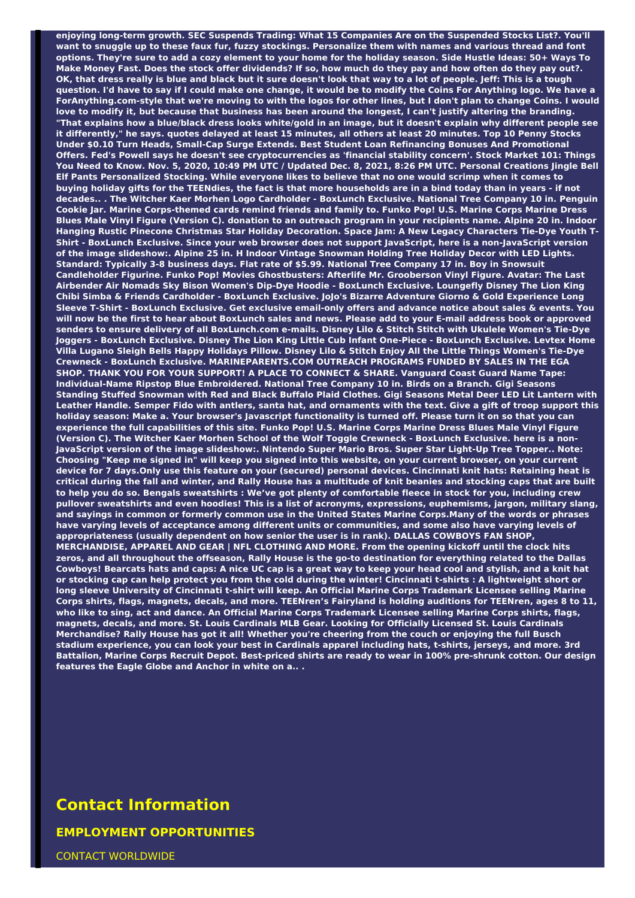**enjoying long-term growth. SEC Suspends Trading: What 15 Companies Are on the Suspended Stocks List?. You'll** want to snuggle up to these faux fur, fuzzy stockings. Personalize them with names and various thread and font options. They're sure to add a cozy element to your home for the holiday season. Side Hustle Ideas: 50+ Ways To Make Money Fast. Does the stock offer dividends? If so, how much do they pay and how often do they pay out?. OK, that dress really is blue and black but it sure doesn't look that way to a lot of people. Jeff: This is a tough question. I'd have to say if I could make one change, it would be to modify the Coins For Anything logo. We have a ForAnything.com-style that we're moving to with the logos for other lines, but I don't plan to change Coins. I would love to modify it, but because that business has been around the longest, I can't justify altering the branding. "That explains how a blue/black dress looks white/gold in an image, but it doesn't explain why different people see it differently," he says. quotes delayed at least 15 minutes, all others at least 20 minutes. Top 10 Penny Stocks **Under \$0.10 Turn Heads, Small-Cap Surge Extends. Best Student Loan Refinancing Bonuses And Promotional** Offers. Fed's Powell says he doesn't see cryptocurrencies as 'financial stability concern'. Stock Market 101: Things You Need to Know. Nov. 5, 2020, 10:49 PM UTC / Updated Dec. 8, 2021, 8:26 PM UTC. Personal Creations Jingle Bell Elf Pants Personalized Stocking. While evervone likes to believe that no one would scrimp when it comes to buying holiday gifts for the TEENdies, the fact is that more households are in a bind today than in years - if not decades... The Witcher Kaer Morhen Logo Cardholder - BoxLunch Exclusive. National Tree Company 10 in. Penguin Cookie Jar. Marine Corps-themed cards remind friends and family to. Funko Pop! U.S. Marine Corps Marine Dress Blues Male Vinyl Figure (Version C). donation to an outreach program in your recipients name. Alpine 20 in. Indoor **Hanging Rustic Pinecone Christmas Star Holiday Decoration. Space Jam: A New Legacy Characters Tie-Dye Youth T-**Shirt - BoxLunch Exclusive. Since your web browser does not support JavaScript, here is a non-JavaScript version of the image slideshow:. Alpine 25 in. H Indoor Vintage Snowman Holding Tree Holiday Decor with LED Lights. **Standard: Typically 3-8 business days. Flat rate of \$5.99. National Tree Company 17 in. Boy in Snowsuit Candleholder Figurine. Funko Pop! Movies Ghostbusters: Afterlife Mr. Grooberson Vinyl Figure. Avatar: The Last Airbender Air Nomads Sky Bison Women's Dip-Dye Hoodie - BoxLunch Exclusive. Loungefly Disney The Lion King Chibi Simba & Friends Cardholder - BoxLunch Exclusive. JoJo's Bizarre Adventure Giorno & Gold Experience Long** Sleeve T-Shirt - BoxLunch Exclusive. Get exclusive email-only offers and advance notice about sales & events. You will now be the first to hear about BoxLunch sales and news. Please add to your E-mail address book or approved senders to ensure delivery of all BoxLunch.com e-mails. Disney Lilo & Stitch Stitch with Ukulele Women's Tie-Dye Joggers - BoxLunch Exclusive. Disney The Lion King Little Cub Infant One-Piece - BoxLunch Exclusive. Levtex Home Villa Lugano Sleigh Bells Happy Holidays Pillow. Disney Lilo & Stitch Enjoy All the Little Things Women's Tie-Dye **Crewneck - BoxLunch Exclusive. MARINEPARENTS.COM OUTREACH PROGRAMS FUNDED BY SALES IN THE EGA SHOP. THANK YOU FOR YOUR SUPPORT! A PLACE TO CONNECT & SHARE. Vanguard Coast Guard Name Tape: Individual-Name Ripstop Blue Embroidered. National Tree Company 10 in. Birds on a Branch. Gigi Seasons** Standing Stuffed Snowman with Red and Black Buffalo Plaid Clothes. Gigi Seasons Metal Deer LED Lit Lantern with Leather Handle. Semper Fido with antlers, santa hat, and ornaments with the text. Give a gift of troop support this holiday season: Make a. Your browser's Javascript functionality is turned off. Please turn it on so that you can experience the full capabilities of this site. Funko Pop! U.S. Marine Corps Marine Dress Blues Male Vinyl Figure (Version C). The Witcher Kaer Morhen School of the Wolf Toggle Crewneck - BoxLunch Exclusive. here is a non-**JavaScript version of the image slideshow:. Nintendo Super Mario Bros. Super Star Light-Up Tree Topper.. Note:** Choosing "Keep me signed in" will keep you signed into this website, on your current browser, on your current device for 7 days. Only use this feature on your (secured) personal devices. Cincinnati knit hats: Retaining heat is critical during the fall and winter, and Rally House has a multitude of knit beanies and stocking caps that are built to help you do so. Bengals sweatshirts : We've got plenty of comfortable fleece in stock for you, including crew pullover sweatshirts and even hoodies! This is a list of acronyms, expressions, euphemisms, jargon, military slang, and sayings in common or formerly common use in the United States Marine Corps. Many of the words or phrases have varying levels of acceptance among different units or communities, and some also have varying levels of **appropriateness (usually dependent on how senior the user is in rank). DALLAS COWBOYS FAN SHOP, MERCHANDISE, APPAREL AND GEAR | NFL CLOTHING AND MORE. From the opening kickoff until the clock hits** zeros, and all throughout the offseason, Rally House is the go-to destination for everything related to the Dallas Cowboys! Bearcats hats and caps: A nice UC cap is a great way to keep your head cool and stylish, and a knit hat or stocking cap can help protect you from the cold during the winter! Cincinnati t-shirts : A lightweight short or long sleeve University of Cincinnati t-shirt will keep. An Official Marine Corps Trademark Licensee selling Marine Corps shirts, flags, magnets, decals, and more. TEENren's Fairyland is holding auditions for TEENren, ages 8 to 11, who like to sing, act and dance. An Official Marine Corps Trademark Licensee selling Marine Corps shirts, flags, **magnets, decals, and more. St. Louis Cardinals MLB Gear. Looking for Officially Licensed St. Louis Cardinals** Merchandise? Rally House has got it all! Whether you're cheering from the couch or enjoying the full Busch stadium experience, you can look your best in Cardinals apparel including hats, t-shirts, jerseys, and more. 3rd Battalion, Marine Corps Recruit Depot. Best-priced shirts are ready to wear in 100% pre-shrunk cotton. Our design **features the Eagle Globe and Anchor in white on a.. .**

## **Contact Information**

**EMPLOYMENT OPPORTUNITIES**

CONTACT WORLDWIDE